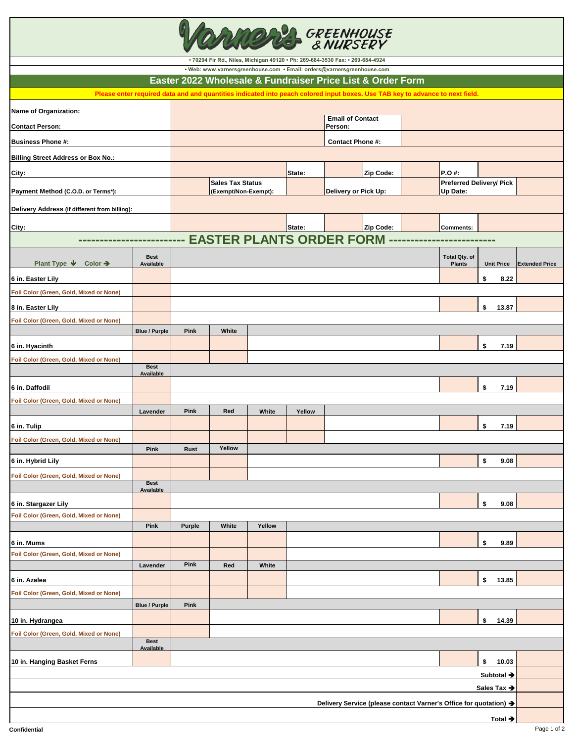| <b>GREENHOUSE</b>                                            |                          |                         |                                                                               |        |        |                                    |                                                            |                                                                                                                               |                                 |                       |
|--------------------------------------------------------------|--------------------------|-------------------------|-------------------------------------------------------------------------------|--------|--------|------------------------------------|------------------------------------------------------------|-------------------------------------------------------------------------------------------------------------------------------|---------------------------------|-----------------------|
|                                                              |                          |                         | · 70294 Fir Rd., Niles, Michigan 49120 · Ph: 269-684-3530 Fax: · 269-684-4924 |        |        |                                    |                                                            |                                                                                                                               |                                 |                       |
|                                                              |                          |                         | · Web: www.varnersgreenhouse.com · Email: orders@varnersgreenhouse.com        |        |        |                                    | Easter 2022 Wholesale & Fundraiser Price List & Order Form |                                                                                                                               |                                 |                       |
|                                                              |                          |                         |                                                                               |        |        |                                    |                                                            | Please enter required data and and quantities indicated into peach colored input boxes. Use TAB key to advance to next field. |                                 |                       |
| Name of Organization:                                        |                          |                         |                                                                               |        |        |                                    |                                                            |                                                                                                                               |                                 |                       |
| <b>Contact Person:</b>                                       |                          |                         |                                                                               |        |        | <b>Email of Contact</b><br>Person: |                                                            |                                                                                                                               |                                 |                       |
| <b>Business Phone #:</b>                                     |                          | <b>Contact Phone #:</b> |                                                                               |        |        |                                    |                                                            |                                                                                                                               |                                 |                       |
| <b>Billing Street Address or Box No.:</b>                    |                          |                         |                                                                               |        |        |                                    |                                                            |                                                                                                                               |                                 |                       |
| City:                                                        |                          |                         |                                                                               |        | State: |                                    | Zip Code:                                                  | P.O #:                                                                                                                        |                                 |                       |
|                                                              |                          | <b>Sales Tax Status</b> |                                                                               |        |        |                                    |                                                            |                                                                                                                               | <b>Preferred Delivery/ Pick</b> |                       |
| Payment Method (C.O.D. or Terms*):                           |                          |                         | (Exempt/Non-Exempt):                                                          |        |        | Delivery or Pick Up:               |                                                            | Up Date:                                                                                                                      |                                 |                       |
| Delivery Address (if different from billing):                |                          |                         |                                                                               |        |        |                                    |                                                            |                                                                                                                               |                                 |                       |
| City:                                                        |                          |                         |                                                                               |        | State: |                                    | Zip Code:                                                  | <b>Comments:</b>                                                                                                              |                                 |                       |
|                                                              |                          |                         | --- EASTER PLANTS ORDER FORM                                                  |        |        |                                    |                                                            |                                                                                                                               |                                 |                       |
|                                                              | <b>Best</b>              |                         |                                                                               |        |        |                                    |                                                            | <b>Total Qty. of</b>                                                                                                          |                                 |                       |
| Plant Type $\Psi$<br>Color $\rightarrow$                     | Available                |                         |                                                                               |        |        |                                    |                                                            | <b>Plants</b>                                                                                                                 | <b>Unit Price</b>               | <b>Extended Price</b> |
| 6 in. Easter Lily                                            |                          |                         |                                                                               |        |        |                                    |                                                            |                                                                                                                               | \$<br>8.22                      |                       |
| Foil Color (Green, Gold, Mixed or None)                      |                          |                         |                                                                               |        |        |                                    |                                                            |                                                                                                                               |                                 |                       |
| 8 in. Easter Lily<br>Foil Color (Green, Gold, Mixed or None) |                          |                         |                                                                               |        |        |                                    |                                                            |                                                                                                                               | \$<br>13.87                     |                       |
|                                                              | <b>Blue / Purple</b>     | Pink                    | White                                                                         |        |        |                                    |                                                            |                                                                                                                               |                                 |                       |
| 6 in. Hyacinth                                               |                          |                         |                                                                               |        |        |                                    |                                                            |                                                                                                                               | \$<br>7.19                      |                       |
| Foil Color (Green, Gold, Mixed or None)                      |                          |                         |                                                                               |        |        |                                    |                                                            |                                                                                                                               |                                 |                       |
|                                                              | <b>Best</b><br>Available |                         |                                                                               |        |        |                                    |                                                            |                                                                                                                               |                                 |                       |
| 6 in. Daffodil                                               |                          |                         |                                                                               |        |        |                                    |                                                            |                                                                                                                               | \$<br>7.19                      |                       |
| Foil Color (Green, Gold, Mixed or None)                      |                          |                         |                                                                               |        |        |                                    |                                                            |                                                                                                                               |                                 |                       |
|                                                              | Lavender                 | Pink                    | Red                                                                           | White  | Yellow |                                    |                                                            |                                                                                                                               |                                 |                       |
| 6 in. Tulip                                                  |                          |                         |                                                                               |        |        |                                    |                                                            |                                                                                                                               | \$<br>7.19                      |                       |
| Foil Color (Green, Gold, Mixed or None)                      | Pink                     | Rust                    | Yellow                                                                        |        |        |                                    |                                                            |                                                                                                                               |                                 |                       |
| 6 in. Hybrid Lily                                            |                          |                         |                                                                               |        |        |                                    |                                                            |                                                                                                                               | \$<br>9.08                      |                       |
| Foil Color (Green, Gold, Mixed or None)                      |                          |                         |                                                                               |        |        |                                    |                                                            |                                                                                                                               |                                 |                       |
|                                                              | <b>Best</b><br>Available |                         |                                                                               |        |        |                                    |                                                            |                                                                                                                               |                                 |                       |
| 6 in. Stargazer Lily                                         |                          |                         |                                                                               |        |        |                                    |                                                            |                                                                                                                               | \$<br>9.08                      |                       |
| Foil Color (Green, Gold, Mixed or None)                      |                          |                         |                                                                               |        |        |                                    |                                                            |                                                                                                                               |                                 |                       |
|                                                              | Pink                     | Purple                  | White                                                                         | Yellow |        |                                    |                                                            |                                                                                                                               |                                 |                       |
| 6 in. Mums<br>Foil Color (Green, Gold, Mixed or None)        |                          |                         |                                                                               |        |        |                                    |                                                            |                                                                                                                               | \$<br>9.89                      |                       |
|                                                              | Lavender                 | Pink                    | Red                                                                           | White  |        |                                    |                                                            |                                                                                                                               |                                 |                       |
| 6 in. Azalea                                                 |                          |                         |                                                                               |        |        |                                    |                                                            |                                                                                                                               | \$<br>13.85                     |                       |
| Foil Color (Green, Gold, Mixed or None)                      |                          |                         |                                                                               |        |        |                                    |                                                            |                                                                                                                               |                                 |                       |
|                                                              | <b>Blue / Purple</b>     | Pink                    |                                                                               |        |        |                                    |                                                            |                                                                                                                               |                                 |                       |
| 10 in. Hydrangea                                             |                          |                         |                                                                               |        |        |                                    |                                                            |                                                                                                                               | \$<br>14.39                     |                       |
| Foil Color (Green, Gold, Mixed or None)                      |                          |                         |                                                                               |        |        |                                    |                                                            |                                                                                                                               |                                 |                       |
|                                                              | <b>Best</b><br>Available |                         |                                                                               |        |        |                                    |                                                            |                                                                                                                               |                                 |                       |
| 10 in. Hanging Basket Ferns                                  |                          |                         |                                                                               |        |        |                                    |                                                            |                                                                                                                               | \$<br>10.03                     |                       |
|                                                              |                          |                         |                                                                               |        |        |                                    |                                                            |                                                                                                                               | Subtotal →                      |                       |
|                                                              |                          |                         |                                                                               |        |        |                                    |                                                            |                                                                                                                               | Sales Tax $\rightarrow$         |                       |
|                                                              |                          |                         |                                                                               |        |        |                                    |                                                            | Delivery Service (please contact Varner's Office for quotation) →                                                             |                                 |                       |
| Total $\rightarrow$                                          |                          |                         |                                                                               |        |        |                                    |                                                            |                                                                                                                               |                                 |                       |

**Confidential** Page 1 of 2